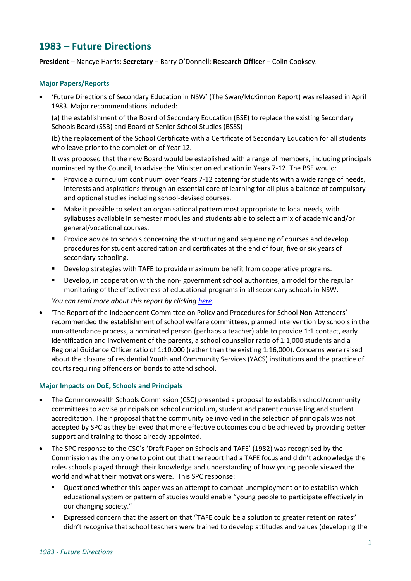# **1983 – Future Directions**

**President** – Nancye Harris; **Secretary** – Barry O'Donnell; **Research Officer** – Colin Cooksey.

### **Major Papers/Reports**

• 'Future Directions of Secondary Education in NSW' (The Swan/McKinnon Report) was released in April 1983. Major recommendations included:

(a) the establishment of the Board of Secondary Education (BSE) to replace the existing Secondary Schools Board (SSB) and Board of Senior School Studies (BSSS)

(b) the replacement of the School Certificate with a Certificate of Secondary Education for all students who leave prior to the completion of Year 12.

It was proposed that the new Board would be established with a range of members, including principals nominated by the Council, to advise the Minister on education in Years 7-12. The BSE would:

- Provide a curriculum continuum over Years 7-12 catering for students with a wide range of needs, interests and aspirations through an essential core of learning for all plus a balance of compulsory and optional studies including school-devised courses.
- Make it possible to select an organisational pattern most appropriate to local needs, with syllabuses available in semester modules and students able to select a mix of academic and/or general/vocational courses.
- Provide advice to schools concerning the structuring and sequencing of courses and develop procedures for student accreditation and certificates at the end of four, five or six years of secondary schooling.
- Develop strategies with TAFE to provide maximum benefit from cooperative programs.
- Develop, in cooperation with the non- government school authorities, a model for the regular monitoring of the effectiveness of educational programs in all secondary schools in NSW.

*You can read more about this report by clicking [here.](http://web.education.unimelb.edu.au/curriculumpoliciesproject/Reports/download/NSW-1985-SwanandMcKinnonReport1984.pdf)*

• 'The Report of the Independent Committee on Policy and Procedures for School Non-Attenders' recommended the establishment of school welfare committees, planned intervention by schools in the non-attendance process, a nominated person (perhaps a teacher) able to provide 1:1 contact, early identification and involvement of the parents, a school counsellor ratio of 1:1,000 students and a Regional Guidance Officer ratio of 1:10,000 (rather than the existing 1:16,000). Concerns were raised about the closure of residential Youth and Community Services (YACS) institutions and the practice of courts requiring offenders on bonds to attend school.

#### **Major Impacts on DoE, Schools and Principals**

- The Commonwealth Schools Commission (CSC) presented a proposal to establish school/community committees to advise principals on school curriculum, student and parent counselling and student accreditation. Their proposal that the community be involved in the selection of principals was not accepted by SPC as they believed that more effective outcomes could be achieved by providing better support and training to those already appointed.
- The SPC response to the CSC's 'Draft Paper on Schools and TAFE' (1982) was recognised by the Commission as the only one to point out that the report had a TAFE focus and didn't acknowledge the roles schools played through their knowledge and understanding of how young people viewed the world and what their motivations were. This SPC response:
	- Questioned whether this paper was an attempt to combat unemployment or to establish which educational system or pattern of studies would enable "young people to participate effectively in our changing society."
	- Expressed concern that the assertion that "TAFE could be a solution to greater retention rates" didn't recognise that school teachers were trained to develop attitudes and values (developing the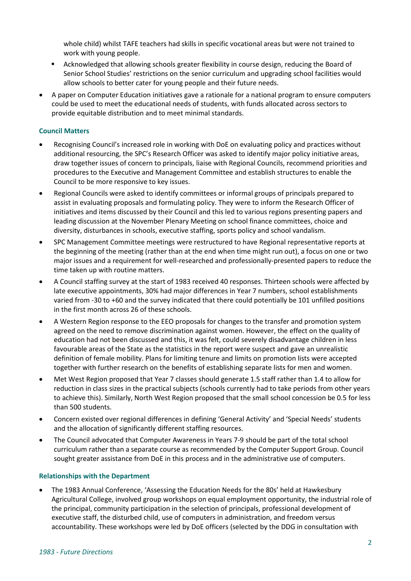whole child) whilst TAFE teachers had skills in specific vocational areas but were not trained to work with young people.

- Acknowledged that allowing schools greater flexibility in course design, reducing the Board of Senior School Studies' restrictions on the senior curriculum and upgrading school facilities would allow schools to better cater for young people and their future needs.
- A paper on Computer Education initiatives gave a rationale for a national program to ensure computers could be used to meet the educational needs of students, with funds allocated across sectors to provide equitable distribution and to meet minimal standards.

## **Council Matters**

- Recognising Council's increased role in working with DoE on evaluating policy and practices without additional resourcing, the SPC's Research Officer was asked to identify major policy initiative areas, draw together issues of concern to principals, liaise with Regional Councils, recommend priorities and procedures to the Executive and Management Committee and establish structures to enable the Council to be more responsive to key issues.
- Regional Councils were asked to identify committees or informal groups of principals prepared to assist in evaluating proposals and formulating policy. They were to inform the Research Officer of initiatives and items discussed by their Council and this led to various regions presenting papers and leading discussion at the November Plenary Meeting on school finance committees, choice and diversity, disturbances in schools, executive staffing, sports policy and school vandalism.
- SPC Management Committee meetings were restructured to have Regional representative reports at the beginning of the meeting (rather than at the end when time might run out), a focus on one or two major issues and a requirement for well-researched and professionally-presented papers to reduce the time taken up with routine matters.
- A Council staffing survey at the start of 1983 received 40 responses. Thirteen schools were affected by late executive appointments, 30% had major differences in Year 7 numbers, school establishments varied from -30 to +60 and the survey indicated that there could potentially be 101 unfilled positions in the first month across 26 of these schools.
- A Western Region response to the EEO proposals for changes to the transfer and promotion system agreed on the need to remove discrimination against women. However, the effect on the quality of education had not been discussed and this, it was felt, could severely disadvantage children in less favourable areas of the State as the statistics in the report were suspect and gave an unrealistic definition of female mobility. Plans for limiting tenure and limits on promotion lists were accepted together with further research on the benefits of establishing separate lists for men and women.
- Met West Region proposed that Year 7 classes should generate 1.5 staff rather than 1.4 to allow for reduction in class sizes in the practical subjects (schools currently had to take periods from other years to achieve this). Similarly, North West Region proposed that the small school concession be 0.5 for less than 500 students.
- Concern existed over regional differences in defining 'General Activity' and 'Special Needs' students and the allocation of significantly different staffing resources.
- The Council advocated that Computer Awareness in Years 7-9 should be part of the total school curriculum rather than a separate course as recommended by the Computer Support Group. Council sought greater assistance from DoE in this process and in the administrative use of computers.

#### **Relationships with the Department**

• The 1983 Annual Conference, 'Assessing the Education Needs for the 80s' held at Hawkesbury Agricultural College, involved group workshops on equal employment opportunity, the industrial role of the principal, community participation in the selection of principals, professional development of executive staff, the disturbed child, use of computers in administration, and freedom versus accountability. These workshops were led by DoE officers (selected by the DDG in consultation with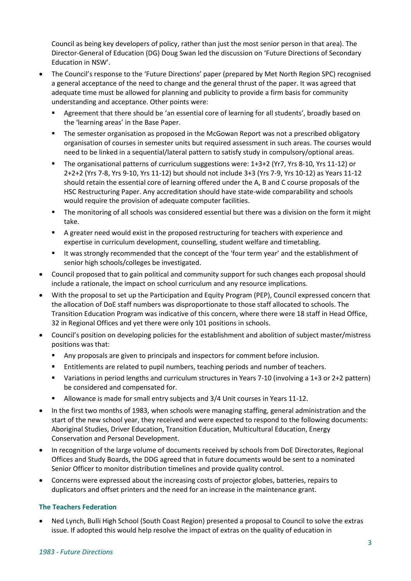Council as being key developers of policy, rather than just the most senior person in that area). The Director-General of Education (DG) Doug Swan led the discussion on 'Future Directions of Secondary Education in NSW'.

- The Council's response to the 'Future Directions' paper (prepared by Met North Region SPC) recognised a general acceptance of the need to change and the general thrust of the paper. It was agreed that adequate time must be allowed for planning and publicity to provide a firm basis for community understanding and acceptance. Other points were:
	- Agreement that there should be 'an essential core of learning for all students', broadly based on the 'learning areas' in the Base Paper.
	- The semester organisation as proposed in the McGowan Report was not a prescribed obligatory organisation of courses in semester units but required assessment in such areas. The courses would need to be linked in a sequential/lateral pattern to satisfy study in compulsory/optional areas.
	- The organisational patterns of curriculum suggestions were: 1+3+2 (Yr7, Yrs 8-10, Yrs 11-12) or 2+2+2 (Yrs 7-8, Yrs 9-10, Yrs 11-12) but should not include 3+3 (Yrs 7-9, Yrs 10-12) as Years 11-12 should retain the essential core of learning offered under the A, B and C course proposals of the HSC Restructuring Paper. Any accreditation should have state-wide comparability and schools would require the provision of adequate computer facilities.
	- The monitoring of all schools was considered essential but there was a division on the form it might take.
	- A greater need would exist in the proposed restructuring for teachers with experience and expertise in curriculum development, counselling, student welfare and timetabling.
	- It was strongly recommended that the concept of the 'four term year' and the establishment of senior high schools/colleges be investigated.
- Council proposed that to gain political and community support for such changes each proposal should include a rationale, the impact on school curriculum and any resource implications.
- With the proposal to set up the Participation and Equity Program (PEP), Council expressed concern that the allocation of DoE staff numbers was disproportionate to those staff allocated to schools. The Transition Education Program was indicative of this concern, where there were 18 staff in Head Office, 32 in Regional Offices and yet there were only 101 positions in schools.
- Council's position on developing policies for the establishment and abolition of subject master/mistress positions was that:
	- Any proposals are given to principals and inspectors for comment before inclusion.
	- Entitlements are related to pupil numbers, teaching periods and number of teachers.
	- Variations in period lengths and curriculum structures in Years 7-10 (involving a 1+3 or 2+2 pattern) be considered and compensated for.
	- Allowance is made for small entry subjects and 3/4 Unit courses in Years 11-12.
- In the first two months of 1983, when schools were managing staffing, general administration and the start of the new school year, they received and were expected to respond to the following documents: Aboriginal Studies, Driver Education, Transition Education, Multicultural Education, Energy Conservation and Personal Development.
- In recognition of the large volume of documents received by schools from DoE Directorates, Regional Offices and Study Boards, the DDG agreed that in future documents would be sent to a nominated Senior Officer to monitor distribution timelines and provide quality control.
- Concerns were expressed about the increasing costs of projector globes, batteries, repairs to duplicators and offset printers and the need for an increase in the maintenance grant.

#### **The Teachers Federation**

• Ned Lynch, Bulli High School (South Coast Region) presented a proposal to Council to solve the extras issue. If adopted this would help resolve the impact of extras on the quality of education in